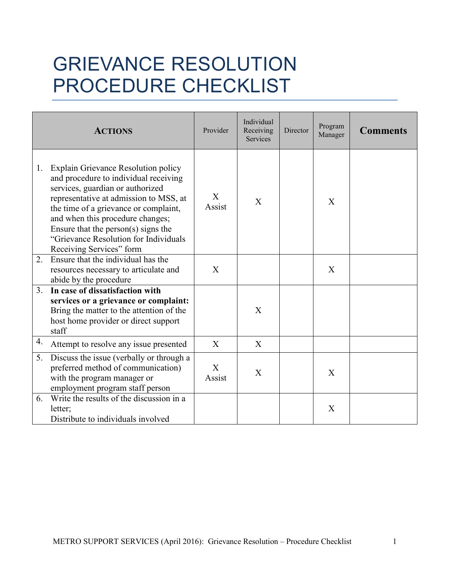## GRIEVANCE RESOLUTION PROCEDURE CHECKLIST

|    | <b>ACTIONS</b>                                                                                                                                                                                                                                                                                                                                             | Provider    | Individual<br>Receiving<br>Services | Director | Program<br>Manager | <b>Comments</b> |
|----|------------------------------------------------------------------------------------------------------------------------------------------------------------------------------------------------------------------------------------------------------------------------------------------------------------------------------------------------------------|-------------|-------------------------------------|----------|--------------------|-----------------|
| 1. | <b>Explain Grievance Resolution policy</b><br>and procedure to individual receiving<br>services, guardian or authorized<br>representative at admission to MSS, at<br>the time of a grievance or complaint,<br>and when this procedure changes;<br>Ensure that the person(s) signs the<br>"Grievance Resolution for Individuals<br>Receiving Services" form | X<br>Assist | X                                   |          | X                  |                 |
| 2. | Ensure that the individual has the<br>resources necessary to articulate and<br>abide by the procedure                                                                                                                                                                                                                                                      | X           |                                     |          | X                  |                 |
| 3. | In case of dissatisfaction with<br>services or a grievance or complaint:<br>Bring the matter to the attention of the<br>host home provider or direct support<br>staff                                                                                                                                                                                      |             | X                                   |          |                    |                 |
| 4. | Attempt to resolve any issue presented                                                                                                                                                                                                                                                                                                                     | X           | X                                   |          |                    |                 |
| 5. | Discuss the issue (verbally or through a<br>preferred method of communication)<br>with the program manager or<br>employment program staff person                                                                                                                                                                                                           | X<br>Assist | X                                   |          | X                  |                 |
| 6. | Write the results of the discussion in a<br>letter;<br>Distribute to individuals involved                                                                                                                                                                                                                                                                  |             |                                     |          | X                  |                 |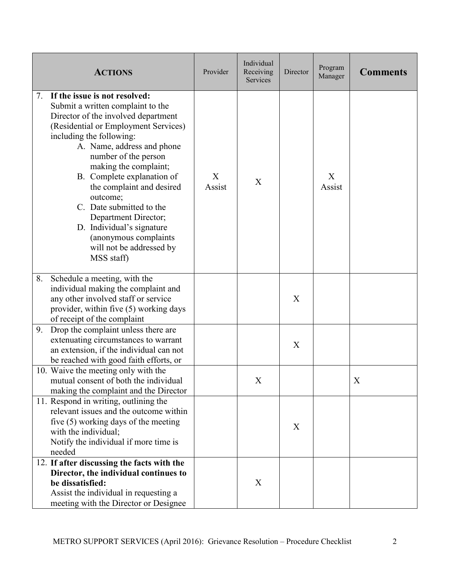|    | <b>ACTIONS</b>                                                                                                                                                                                                                                                                                                                                                                                                                                                                          | Provider    | Individual<br>Receiving<br>Services | Director | Program<br>Manager | <b>Comments</b> |
|----|-----------------------------------------------------------------------------------------------------------------------------------------------------------------------------------------------------------------------------------------------------------------------------------------------------------------------------------------------------------------------------------------------------------------------------------------------------------------------------------------|-------------|-------------------------------------|----------|--------------------|-----------------|
| 7. | If the issue is not resolved:<br>Submit a written complaint to the<br>Director of the involved department<br>(Residential or Employment Services)<br>including the following:<br>A. Name, address and phone<br>number of the person<br>making the complaint;<br>B. Complete explanation of<br>the complaint and desired<br>outcome;<br>C. Date submitted to the<br>Department Director;<br>D. Individual's signature<br>(anonymous complaints<br>will not be addressed by<br>MSS staff) | X<br>Assist | X                                   |          | X<br>Assist        |                 |
| 8. | Schedule a meeting, with the<br>individual making the complaint and<br>any other involved staff or service<br>provider, within five (5) working days<br>of receipt of the complaint                                                                                                                                                                                                                                                                                                     |             |                                     | X        |                    |                 |
| 9. | Drop the complaint unless there are<br>extenuating circumstances to warrant<br>an extension, if the individual can not<br>be reached with good faith efforts, or                                                                                                                                                                                                                                                                                                                        |             |                                     | X        |                    |                 |
|    | 10. Waive the meeting only with the<br>mutual consent of both the individual<br>making the complaint and the Director                                                                                                                                                                                                                                                                                                                                                                   |             | Χ                                   |          |                    | Χ               |
|    | 11. Respond in writing, outlining the<br>relevant issues and the outcome within<br>five (5) working days of the meeting<br>with the individual;<br>Notify the individual if more time is<br>needed                                                                                                                                                                                                                                                                                      |             |                                     | X        |                    |                 |
|    | 12. If after discussing the facts with the<br>Director, the individual continues to<br>be dissatisfied:<br>Assist the individual in requesting a<br>meeting with the Director or Designee                                                                                                                                                                                                                                                                                               |             | X                                   |          |                    |                 |